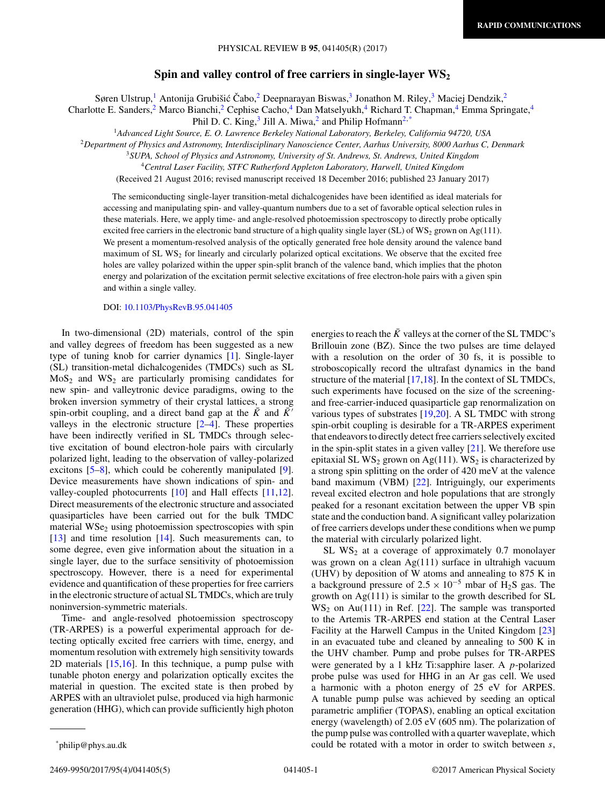## **Spin and valley control of free carriers in single-layer WS2**

Søren Ulstrup,<sup>1</sup> Antonija Grubišić Čabo, <sup>2</sup> Deepnarayan Biswas, <sup>3</sup> Jonathon M. Riley, <sup>3</sup> Maciej Dendzik, <sup>2</sup>

Charlotte E. Sanders,<sup>2</sup> Marco Bianchi,<sup>2</sup> Cephise Cacho,<sup>4</sup> Dan Matselyukh,<sup>4</sup> Richard T. Chapman,<sup>4</sup> Emma Springate,<sup>4</sup>

Phil D. C. King, $3$  Jill A. Miwa, $2$  and Philip Hofmann<sup>2,\*</sup>

<sup>1</sup>*Advanced Light Source, E. O. Lawrence Berkeley National Laboratory, Berkeley, California 94720, USA*

<sup>2</sup>*Department of Physics and Astronomy, Interdisciplinary Nanoscience Center, Aarhus University, 8000 Aarhus C, Denmark*

<sup>3</sup>*SUPA, School of Physics and Astronomy, University of St. Andrews, St. Andrews, United Kingdom*

<sup>4</sup>*Central Laser Facility, STFC Rutherford Appleton Laboratory, Harwell, United Kingdom*

(Received 21 August 2016; revised manuscript received 18 December 2016; published 23 January 2017)

The semiconducting single-layer transition-metal dichalcogenides have been identified as ideal materials for accessing and manipulating spin- and valley-quantum numbers due to a set of favorable optical selection rules in these materials. Here, we apply time- and angle-resolved photoemission spectroscopy to directly probe optically excited free carriers in the electronic band structure of a high quality single layer (SL) of  $WS_2$  grown on Ag(111). We present a momentum-resolved analysis of the optically generated free hole density around the valence band maximum of SL  $WS_2$  for linearly and circularly polarized optical excitations. We observe that the excited free holes are valley polarized within the upper spin-split branch of the valence band, which implies that the photon energy and polarization of the excitation permit selective excitations of free electron-hole pairs with a given spin and within a single valley.

## DOI: [10.1103/PhysRevB.95.041405](https://doi.org/10.1103/PhysRevB.95.041405)

In two-dimensional (2D) materials, control of the spin and valley degrees of freedom has been suggested as a new type of tuning knob for carrier dynamics [\[1\]](#page-3-0). Single-layer (SL) transition-metal dichalcogenides (TMDCs) such as SL  $MoS<sub>2</sub>$  and  $WS<sub>2</sub>$  are particularly promising candidates for new spin- and valleytronic device paradigms, owing to the broken inversion symmetry of their crystal lattices, a strong spin-orbit coupling, and a direct band gap at the  $\overline{K}$  and  $\overline{K}$ <sup> $\prime$ </sup> valleys in the electronic structure  $[2-4]$ . These properties have been indirectly verified in SL TMDCs through selective excitation of bound electron-hole pairs with circularly polarized light, leading to the observation of valley-polarized excitons [\[5–8\]](#page-3-0), which could be coherently manipulated [\[9\]](#page-3-0). Device measurements have shown indications of spin- and valley-coupled photocurrents [\[10\]](#page-3-0) and Hall effects [\[11,12\]](#page-3-0). Direct measurements of the electronic structure and associated quasiparticles have been carried out for the bulk TMDC material  $WSe<sub>2</sub>$  using photoemission spectroscopies with spin [\[13\]](#page-3-0) and time resolution [\[14\]](#page-3-0). Such measurements can, to some degree, even give information about the situation in a single layer, due to the surface sensitivity of photoemission spectroscopy. However, there is a need for experimental evidence and quantification of these properties for free carriers in the electronic structure of actual SL TMDCs, which are truly noninversion-symmetric materials.

Time- and angle-resolved photoemission spectroscopy (TR-ARPES) is a powerful experimental approach for detecting optically excited free carriers with time, energy, and momentum resolution with extremely high sensitivity towards 2D materials [\[15,16\]](#page-3-0). In this technique, a pump pulse with tunable photon energy and polarization optically excites the material in question. The excited state is then probed by ARPES with an ultraviolet pulse, produced via high harmonic generation (HHG), which can provide sufficiently high photon energies to reach the  $\bar{K}$  valleys at the corner of the SL TMDC's Brillouin zone (BZ). Since the two pulses are time delayed with a resolution on the order of 30 fs, it is possible to stroboscopically record the ultrafast dynamics in the band structure of the material [\[17,18\]](#page-3-0). In the context of SL TMDCs, such experiments have focused on the size of the screeningand free-carrier-induced quasiparticle gap renormalization on various types of substrates [\[19,20\]](#page-3-0). A SL TMDC with strong spin-orbit coupling is desirable for a TR-ARPES experiment that endeavors to directly detect free carriers selectively excited in the spin-split states in a given valley  $[21]$ . We therefore use epitaxial SL WS<sub>2</sub> grown on Ag(111). WS<sub>2</sub> is characterized by a strong spin splitting on the order of 420 meV at the valence band maximum (VBM) [\[22\]](#page-4-0). Intriguingly, our experiments reveal excited electron and hole populations that are strongly peaked for a resonant excitation between the upper VB spin state and the conduction band. A significant valley polarization of free carriers develops under these conditions when we pump the material with circularly polarized light.

SL  $WS_2$  at a coverage of approximately 0.7 monolayer was grown on a clean Ag(111) surface in ultrahigh vacuum (UHV) by deposition of W atoms and annealing to 875 K in a background pressure of  $2.5 \times 10^{-5}$  mbar of H<sub>2</sub>S gas. The growth on  $Ag(111)$  is similar to the growth described for SL  $WS_2$  on Au(111) in Ref. [\[22\]](#page-4-0). The sample was transported to the Artemis TR-ARPES end station at the Central Laser Facility at the Harwell Campus in the United Kingdom [\[23\]](#page-4-0) in an evacuated tube and cleaned by annealing to 500 K in the UHV chamber. Pump and probe pulses for TR-ARPES were generated by a 1 kHz Ti:sapphire laser. A *p*-polarized probe pulse was used for HHG in an Ar gas cell. We used a harmonic with a photon energy of 25 eV for ARPES. A tunable pump pulse was achieved by seeding an optical parametric amplifier (TOPAS), enabling an optical excitation energy (wavelength) of 2.05 eV (605 nm). The polarization of the pump pulse was controlled with a quarter waveplate, which could be rotated with a motor in order to switch between *s*,

2469-9950/2017/95(4)/041405(5) 041405-1 ©2017 American Physical Society

<sup>\*</sup>philip@phys.au.dk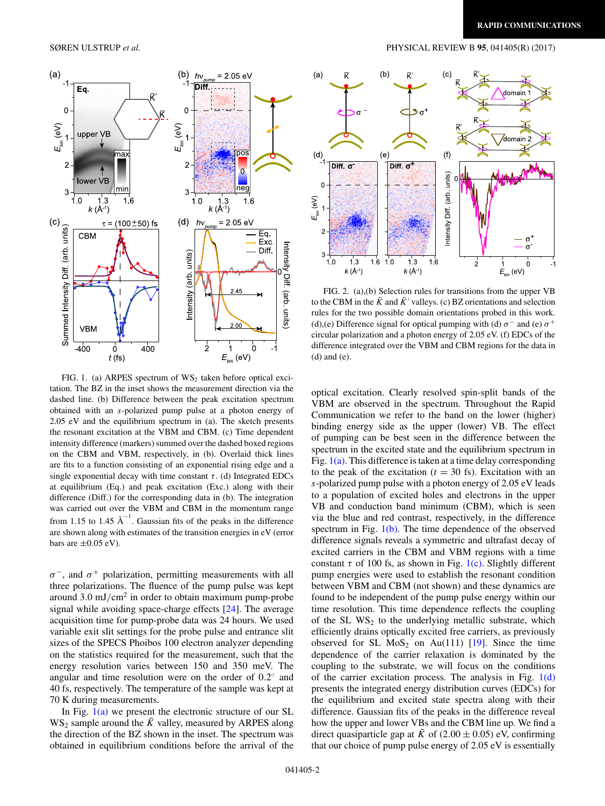<span id="page-1-0"></span>

FIG. 1. (a) ARPES spectrum of  $WS_2$  taken before optical excitation. The BZ in the inset shows the measurement direction via the dashed line. (b) Difference between the peak excitation spectrum obtained with an *s*-polarized pump pulse at a photon energy of 2.05 eV and the equilibrium spectrum in (a). The sketch presents the resonant excitation at the VBM and CBM. (c) Time dependent intensity difference (markers) summed over the dashed boxed regions on the CBM and VBM, respectively, in (b). Overlaid thick lines are fits to a function consisting of an exponential rising edge and a single exponential decay with time constant  $\tau$ . (d) Integrated EDCs at equilibrium (Eq.) and peak excitation (Exc.) along with their difference (Diff.) for the corresponding data in (b). The integration was carried out over the VBM and CBM in the momentum range from 1.15 to 1.45  $\text{\AA}^{-1}$ . Gaussian fits of the peaks in the difference are shown along with estimates of the transition energies in eV (error bars are  $\pm 0.05$  eV).

 $\sigma^-$ , and  $\sigma^+$  polarization, permitting measurements with all three polarizations. The fluence of the pump pulse was kept around 3.0 mJ*/*cm<sup>2</sup> in order to obtain maximum pump-probe signal while avoiding space-charge effects [\[24\]](#page-4-0). The average acquisition time for pump-probe data was 24 hours. We used variable exit slit settings for the probe pulse and entrance slit sizes of the SPECS Phoibos 100 electron analyzer depending on the statistics required for the measurement, such that the energy resolution varies between 150 and 350 meV. The angular and time resolution were on the order of 0*.*2◦ and 40 fs, respectively. The temperature of the sample was kept at 70 K during measurements.

In Fig.  $1(a)$  we present the electronic structure of our SL  $WS_2$  sample around the  $\bar{K}$  valley, measured by ARPES along the direction of the BZ shown in the inset. The spectrum was obtained in equilibrium conditions before the arrival of the



FIG. 2. (a),(b) Selection rules for transitions from the upper VB to the CBM in the  $\bar{K}$  and  $\bar{K}'$  valleys. (c) BZ orientations and selection rules for the two possible domain orientations probed in this work. (d),(e) Difference signal for optical pumping with (d)  $\sigma^-$  and (e)  $\sigma^+$ circular polarization and a photon energy of 2.05 eV. (f) EDCs of the difference integrated over the VBM and CBM regions for the data in (d) and (e).

optical excitation. Clearly resolved spin-split bands of the VBM are observed in the spectrum. Throughout the Rapid Communication we refer to the band on the lower (higher) binding energy side as the upper (lower) VB. The effect of pumping can be best seen in the difference between the spectrum in the excited state and the equilibrium spectrum in Fig.  $1(a)$ . This difference is taken at a time delay corresponding to the peak of the excitation  $(t = 30 \text{ fs})$ . Excitation with an *s*-polarized pump pulse with a photon energy of 2.05 eV leads to a population of excited holes and electrons in the upper VB and conduction band minimum (CBM), which is seen via the blue and red contrast, respectively, in the difference spectrum in Fig. 1(b). The time dependence of the observed difference signals reveals a symmetric and ultrafast decay of excited carriers in the CBM and VBM regions with a time constant  $\tau$  of 100 fs, as shown in Fig. 1(c). Slightly different pump energies were used to establish the resonant condition between VBM and CBM (not shown) and these dynamics are found to be independent of the pump pulse energy within our time resolution. This time dependence reflects the coupling of the SL  $WS_2$  to the underlying metallic substrate, which efficiently drains optically excited free carriers, as previously observed for SL  $MoS<sub>2</sub>$  on Au(111) [\[19\]](#page-3-0). Since the time dependence of the carrier relaxation is dominated by the coupling to the substrate, we will focus on the conditions of the carrier excitation process. The analysis in Fig.  $1(d)$ presents the integrated energy distribution curves (EDCs) for the equilibrium and excited state spectra along with their difference. Gaussian fits of the peaks in the difference reveal how the upper and lower VBs and the CBM line up. We find a direct quasiparticle gap at  $\bar{K}$  of (2.00  $\pm$  0.05) eV, confirming that our choice of pump pulse energy of 2.05 eV is essentially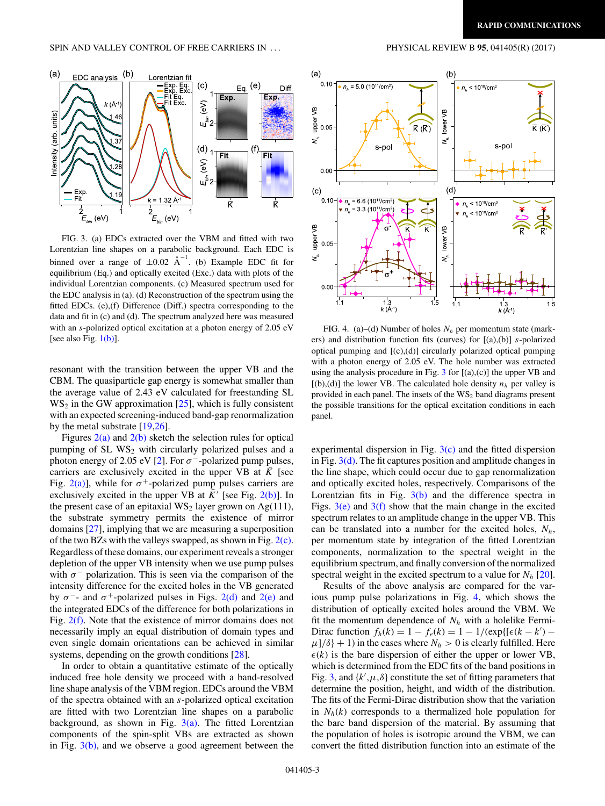<span id="page-2-0"></span>

FIG. 3. (a) EDCs extracted over the VBM and fitted with two Lorentzian line shapes on a parabolic background. Each EDC is binned over a range of  $\pm 0.02 \text{ \AA}^{-1}$ . (b) Example EDC fit for equilibrium (Eq.) and optically excited (Exc.) data with plots of the individual Lorentzian components. (c) Measured spectrum used for the EDC analysis in (a). (d) Reconstruction of the spectrum using the fitted EDCs. (e),(f) Difference (Diff.) spectra corresponding to the data and fit in (c) and (d). The spectrum analyzed here was measured with an *s*-polarized optical excitation at a photon energy of 2.05 eV [see also Fig.  $1(b)$ ].

resonant with the transition between the upper VB and the CBM. The quasiparticle gap energy is somewhat smaller than the average value of 2.43 eV calculated for freestanding SL  $WS_2$  in the GW approximation [\[25\]](#page-4-0), which is fully consistent with an expected screening-induced band-gap renormalization by the metal substrate [\[19](#page-3-0)[,26\]](#page-4-0).

Figures  $2(a)$  and  $2(b)$  sketch the selection rules for optical pumping of  $SL$  WS<sub>2</sub> with circularly polarized pulses and a photon energy of 2.05 eV [\[2\]](#page-3-0). For  $\sigma^-$ -polarized pump pulses, carriers are exclusively excited in the upper VB at *K* [see Fig. [2\(a\)\]](#page-1-0), while for  $\sigma^+$ -polarized pump pulses carriers are exclusively excited in the upper VB at  $\bar{K}$ <sup> $\prime$ </sup> [see Fig. [2\(b\)\]](#page-1-0). In the present case of an epitaxial  $WS_2$  layer grown on Ag(111), the substrate symmetry permits the existence of mirror domains [\[27\]](#page-4-0), implying that we are measuring a superposition of the two BZs with the valleys swapped, as shown in Fig.  $2(c)$ . Regardless of these domains, our experiment reveals a stronger depletion of the upper VB intensity when we use pump pulses with  $\sigma^-$  polarization. This is seen via the comparison of the intensity difference for the excited holes in the VB generated by  $\sigma^-$ - and  $\sigma^+$ -polarized pulses in Figs. [2\(d\)](#page-1-0) and [2\(e\)](#page-1-0) and the integrated EDCs of the difference for both polarizations in Fig. [2\(f\).](#page-1-0) Note that the existence of mirror domains does not necessarily imply an equal distribution of domain types and even single domain orientations can be achieved in similar systems, depending on the growth conditions [\[28\]](#page-4-0).

In order to obtain a quantitative estimate of the optically induced free hole density we proceed with a band-resolved line shape analysis of the VBM region. EDCs around the VBM of the spectra obtained with an *s*-polarized optical excitation are fitted with two Lorentzian line shapes on a parabolic background, as shown in Fig.  $3(a)$ . The fitted Lorentzian components of the spin-split VBs are extracted as shown in Fig.  $3(b)$ , and we observe a good agreement between the



FIG. 4. (a)–(d) Number of holes  $N_h$  per momentum state (markers) and distribution function fits (curves) for [(a),(b)] *s*-polarized optical pumping and [(c),(d)] circularly polarized optical pumping with a photon energy of 2.05 eV. The hole number was extracted using the analysis procedure in Fig.  $3$  for  $[(a),(c)]$  the upper VB and  $[(b),(d)]$  the lower VB. The calculated hole density  $n_h$  per valley is provided in each panel. The insets of the  $WS_2$  band diagrams present the possible transitions for the optical excitation conditions in each panel.

experimental dispersion in Fig.  $3(c)$  and the fitted dispersion in Fig.  $3(d)$ . The fit captures position and amplitude changes in the line shape, which could occur due to gap renormalization and optically excited holes, respectively. Comparisons of the Lorentzian fits in Fig.  $3(b)$  and the difference spectra in Figs.  $3(e)$  and  $3(f)$  show that the main change in the excited spectrum relates to an amplitude change in the upper VB. This can be translated into a number for the excited holes,  $N_h$ , per momentum state by integration of the fitted Lorentzian components, normalization to the spectral weight in the equilibrium spectrum, and finally conversion of the normalized spectral weight in the excited spectrum to a value for  $N_h$  [\[20\]](#page-3-0).

Results of the above analysis are compared for the various pump pulse polarizations in Fig. 4, which shows the distribution of optically excited holes around the VBM. We fit the momentum dependence of  $N_h$  with a holelike Fermi-Dirac function  $f_h(k) = 1 - f_e(k) = 1 - 1/(\exp{[(\epsilon(k - k')) - \epsilon_k]}$  $\mu$ ]/ $\delta$ } + 1) in the cases where  $N_h > 0$  is clearly fulfilled. Here  $\epsilon(k)$  is the bare dispersion of either the upper or lower VB, which is determined from the EDC fits of the band positions in Fig. 3, and  $\{k', \mu, \delta\}$  constitute the set of fitting parameters that determine the position, height, and width of the distribution. The fits of the Fermi-Dirac distribution show that the variation in  $N_h(k)$  corresponds to a thermalized hole population for the bare band dispersion of the material. By assuming that the population of holes is isotropic around the VBM, we can convert the fitted distribution function into an estimate of the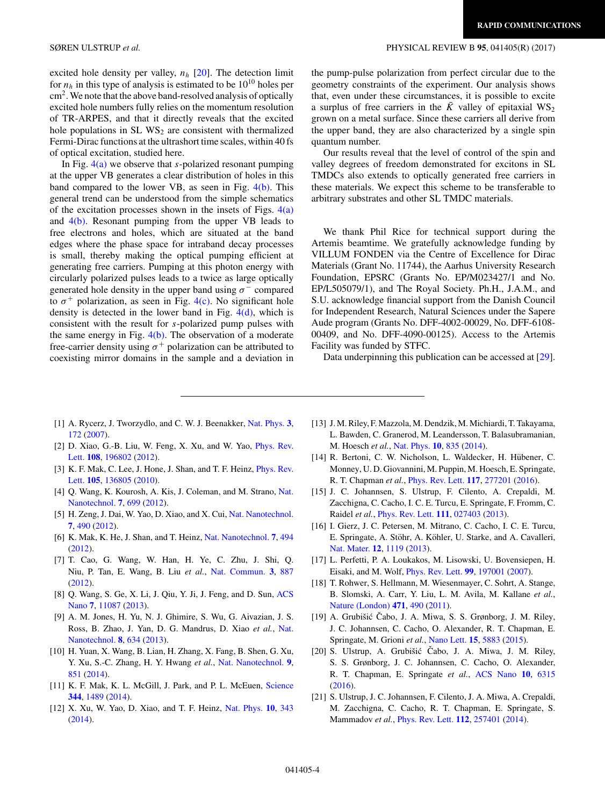<span id="page-3-0"></span>excited hole density per valley,  $n_h$  [20]. The detection limit for  $n_h$  in this type of analysis is estimated to be  $10^{10}$  holes per  $\text{cm}^2$ . We note that the above band-resolved analysis of optically excited hole numbers fully relies on the momentum resolution of TR-ARPES, and that it directly reveals that the excited hole populations in  $SLWS_2$  are consistent with thermalized Fermi-Dirac functions at the ultrashort time scales, within 40 fs of optical excitation, studied here.

In Fig. [4\(a\)](#page-2-0) we observe that *s*-polarized resonant pumping at the upper VB generates a clear distribution of holes in this band compared to the lower VB, as seen in Fig. [4\(b\).](#page-2-0) This general trend can be understood from the simple schematics of the excitation processes shown in the insets of Figs.  $4(a)$ and  $4(b)$ . Resonant pumping from the upper VB leads to free electrons and holes, which are situated at the band edges where the phase space for intraband decay processes is small, thereby making the optical pumping efficient at generating free carriers. Pumping at this photon energy with circularly polarized pulses leads to a twice as large optically generated hole density in the upper band using  $\sigma^-$  compared to  $\sigma^+$  polarization, as seen in Fig. [4\(c\).](#page-2-0) No significant hole density is detected in the lower band in Fig. [4\(d\),](#page-2-0) which is consistent with the result for *s*-polarized pump pulses with the same energy in Fig. [4\(b\).](#page-2-0) The observation of a moderate free-carrier density using  $\sigma^+$  polarization can be attributed to coexisting mirror domains in the sample and a deviation in the pump-pulse polarization from perfect circular due to the geometry constraints of the experiment. Our analysis shows that, even under these circumstances, it is possible to excite a surplus of free carriers in the  $\bar{K}$  valley of epitaxial WS<sub>2</sub> grown on a metal surface. Since these carriers all derive from the upper band, they are also characterized by a single spin quantum number.

Our results reveal that the level of control of the spin and valley degrees of freedom demonstrated for excitons in SL TMDCs also extends to optically generated free carriers in these materials. We expect this scheme to be transferable to arbitrary substrates and other SL TMDC materials.

We thank Phil Rice for technical support during the Artemis beamtime. We gratefully acknowledge funding by VILLUM FONDEN via the Centre of Excellence for Dirac Materials (Grant No. 11744), the Aarhus University Research Foundation, EPSRC (Grants No. EP/M023427/1 and No. EP/L505079/1), and The Royal Society. Ph.H., J.A.M., and S.U. acknowledge financial support from the Danish Council for Independent Research, Natural Sciences under the Sapere Aude program (Grants No. DFF-4002-00029, No. DFF-6108- 00409, and No. DFF-4090-00125). Access to the Artemis Facility was funded by STFC.

Data underpinning this publication can be accessed at [\[29\]](#page-4-0).

- [1] A. Rycerz, J. Tworzydlo, and C. W. J. Beenakker, [Nat. Phys.](https://doi.org/10.1038/nphys547) **[3](https://doi.org/10.1038/nphys547)**, [172](https://doi.org/10.1038/nphys547) [\(2007\)](https://doi.org/10.1038/nphys547).
- [2] [D. Xiao, G.-B. Liu, W. Feng, X. Xu, and W. Yao,](https://doi.org/10.1103/PhysRevLett.108.196802) *Phys. Rev.* Lett. **[108](https://doi.org/10.1103/PhysRevLett.108.196802)**, [196802](https://doi.org/10.1103/PhysRevLett.108.196802) [\(2012\)](https://doi.org/10.1103/PhysRevLett.108.196802).
- [3] [K. F. Mak, C. Lee, J. Hone, J. Shan, and T. F. Heinz,](https://doi.org/10.1103/PhysRevLett.105.136805) *Phys. Rev.* Lett. **[105](https://doi.org/10.1103/PhysRevLett.105.136805)**, [136805](https://doi.org/10.1103/PhysRevLett.105.136805) [\(2010\)](https://doi.org/10.1103/PhysRevLett.105.136805).
- [4] [Q. Wang, K. Kourosh, A. Kis, J. Coleman, and M. Strano,](https://doi.org/10.1038/nnano.2012.193) Nat. Nanotechnol. **[7](https://doi.org/10.1038/nnano.2012.193)**, [699](https://doi.org/10.1038/nnano.2012.193) [\(2012\)](https://doi.org/10.1038/nnano.2012.193).
- [5] H. Zeng, J. Dai, W. Yao, D. Xiao, and X. Cui, [Nat. Nanotechnol.](https://doi.org/10.1038/nnano.2012.95) **[7](https://doi.org/10.1038/nnano.2012.95)**, [490](https://doi.org/10.1038/nnano.2012.95) [\(2012\)](https://doi.org/10.1038/nnano.2012.95).
- [6] K. Mak, K. He, J. Shan, and T. Heinz, [Nat. Nanotechnol.](https://doi.org/10.1038/nnano.2012.96) **[7](https://doi.org/10.1038/nnano.2012.96)**, [494](https://doi.org/10.1038/nnano.2012.96) [\(2012\)](https://doi.org/10.1038/nnano.2012.96).
- [7] T. Cao, G. Wang, W. Han, H. Ye, C. Zhu, J. Shi, Q. Niu, P. Tan, E. Wang, B. Liu *et al.*, [Nat. Commun.](https://doi.org/10.1038/ncomms1882) **[3](https://doi.org/10.1038/ncomms1882)**, [887](https://doi.org/10.1038/ncomms1882) [\(2012\)](https://doi.org/10.1038/ncomms1882).
- [8] [Q. Wang, S. Ge, X. Li, J. Qiu, Y. Ji, J. Feng, and D. Sun,](https://doi.org/10.1021/nn405419h) ACS Nano **[7](https://doi.org/10.1021/nn405419h)**, [11087](https://doi.org/10.1021/nn405419h) [\(2013\)](https://doi.org/10.1021/nn405419h).
- [9] A. M. Jones, H. Yu, N. J. Ghimire, S. Wu, G. Aivazian, J. S. [Ross, B. Zhao, J. Yan, D. G. Mandrus, D. Xiao](https://doi.org/10.1038/nnano.2013.151) *et al.*, Nat. Nanotechnol. **[8](https://doi.org/10.1038/nnano.2013.151)**, [634](https://doi.org/10.1038/nnano.2013.151) [\(2013\)](https://doi.org/10.1038/nnano.2013.151).
- [10] H. Yuan, X. Wang, B. Lian, H. Zhang, X. Fang, B. Shen, G. Xu, Y. Xu, S.-C. Zhang, H. Y. Hwang *et al.*, [Nat. Nanotechnol.](https://doi.org/10.1038/nnano.2014.183) **[9](https://doi.org/10.1038/nnano.2014.183)**, [851](https://doi.org/10.1038/nnano.2014.183) [\(2014\)](https://doi.org/10.1038/nnano.2014.183).
- [11] K. F. Mak, K. L. McGill, J. Park, and P. L. McEuen, [Science](https://doi.org/10.1126/science.1250140) **[344](https://doi.org/10.1126/science.1250140)**, [1489](https://doi.org/10.1126/science.1250140) [\(2014\)](https://doi.org/10.1126/science.1250140).
- [12] X. Xu, W. Yao, D. Xiao, and T. F. Heinz, [Nat. Phys.](https://doi.org/10.1038/nphys2942) **[10](https://doi.org/10.1038/nphys2942)**, [343](https://doi.org/10.1038/nphys2942) [\(2014\)](https://doi.org/10.1038/nphys2942).
- [13] J. M. Riley, F. Mazzola, M. Dendzik, M. Michiardi, T. Takayama, L. Bawden, C. Granerod, M. Leandersson, T. Balasubramanian, M. Hoesch *et al.*, [Nat. Phys.](https://doi.org/10.1038/nphys3105) **[10](https://doi.org/10.1038/nphys3105)**, [835](https://doi.org/10.1038/nphys3105) [\(2014\)](https://doi.org/10.1038/nphys3105).
- [14] R. Bertoni, C. W. Nicholson, L. Waldecker, H. Hübener, C. Monney, U. D. Giovannini, M. Puppin, M. Hoesch, E. Springate, R. T. Chapman *et al.*, [Phys. Rev. Lett.](https://doi.org/10.1103/PhysRevLett.117.277201) **[117](https://doi.org/10.1103/PhysRevLett.117.277201)**, [277201](https://doi.org/10.1103/PhysRevLett.117.277201) [\(2016\)](https://doi.org/10.1103/PhysRevLett.117.277201).
- [15] J. C. Johannsen, S. Ulstrup, F. Cilento, A. Crepaldi, M. Zacchigna, C. Cacho, I. C. E. Turcu, E. Springate, F. Fromm, C. Raidel *et al.*, [Phys. Rev. Lett.](https://doi.org/10.1103/PhysRevLett.111.027403) **[111](https://doi.org/10.1103/PhysRevLett.111.027403)**, [027403](https://doi.org/10.1103/PhysRevLett.111.027403) [\(2013\)](https://doi.org/10.1103/PhysRevLett.111.027403).
- [16] I. Gierz, J. C. Petersen, M. Mitrano, C. Cacho, I. C. E. Turcu, E. Springate, A. Stöhr, A. Köhler, U. Starke, and A. Cavalleri, [Nat. Mater.](https://doi.org/10.1038/nmat3757) **[12](https://doi.org/10.1038/nmat3757)**, [1119](https://doi.org/10.1038/nmat3757) [\(2013\)](https://doi.org/10.1038/nmat3757).
- [17] L. Perfetti, P. A. Loukakos, M. Lisowski, U. Bovensiepen, H. Eisaki, and M. Wolf, [Phys. Rev. Lett.](https://doi.org/10.1103/PhysRevLett.99.197001) **[99](https://doi.org/10.1103/PhysRevLett.99.197001)**, [197001](https://doi.org/10.1103/PhysRevLett.99.197001) [\(2007\)](https://doi.org/10.1103/PhysRevLett.99.197001).
- [18] T. Rohwer, S. Hellmann, M. Wiesenmayer, C. Sohrt, A. Stange, B. Slomski, A. Carr, Y. Liu, L. M. Avila, M. Kallane *et al.*, [Nature \(London\)](https://doi.org/10.1038/nature09829) **[471](https://doi.org/10.1038/nature09829)**, [490](https://doi.org/10.1038/nature09829) [\(2011\)](https://doi.org/10.1038/nature09829).
- [19] A. Grubišić Čabo, J. A. Miwa, S. S. Grønborg, J. M. Riley, J. C. Johannsen, C. Cacho, O. Alexander, R. T. Chapman, E. Springate, M. Grioni *et al.*, [Nano Lett.](https://doi.org/10.1021/acs.nanolett.5b01967) **[15](https://doi.org/10.1021/acs.nanolett.5b01967)**, [5883](https://doi.org/10.1021/acs.nanolett.5b01967) [\(2015\)](https://doi.org/10.1021/acs.nanolett.5b01967).
- [20] S. Ulstrup, A. Grubišić Čabo, J. A. Miwa, J. M. Riley, S. S. Grønborg, J. C. Johannsen, C. Cacho, O. Alexander, R. T. Chapman, E. Springate *et al.*, [ACS Nano](https://doi.org/10.1021/acsnano.6b02622) **[10](https://doi.org/10.1021/acsnano.6b02622)**, [6315](https://doi.org/10.1021/acsnano.6b02622) [\(2016\)](https://doi.org/10.1021/acsnano.6b02622).
- [21] S. Ulstrup, J. C. Johannsen, F. Cilento, J. A. Miwa, A. Crepaldi, M. Zacchigna, C. Cacho, R. T. Chapman, E. Springate, S. Mammadov *et al.*, [Phys. Rev. Lett.](https://doi.org/10.1103/PhysRevLett.112.257401) **[112](https://doi.org/10.1103/PhysRevLett.112.257401)**, [257401](https://doi.org/10.1103/PhysRevLett.112.257401) [\(2014\)](https://doi.org/10.1103/PhysRevLett.112.257401).